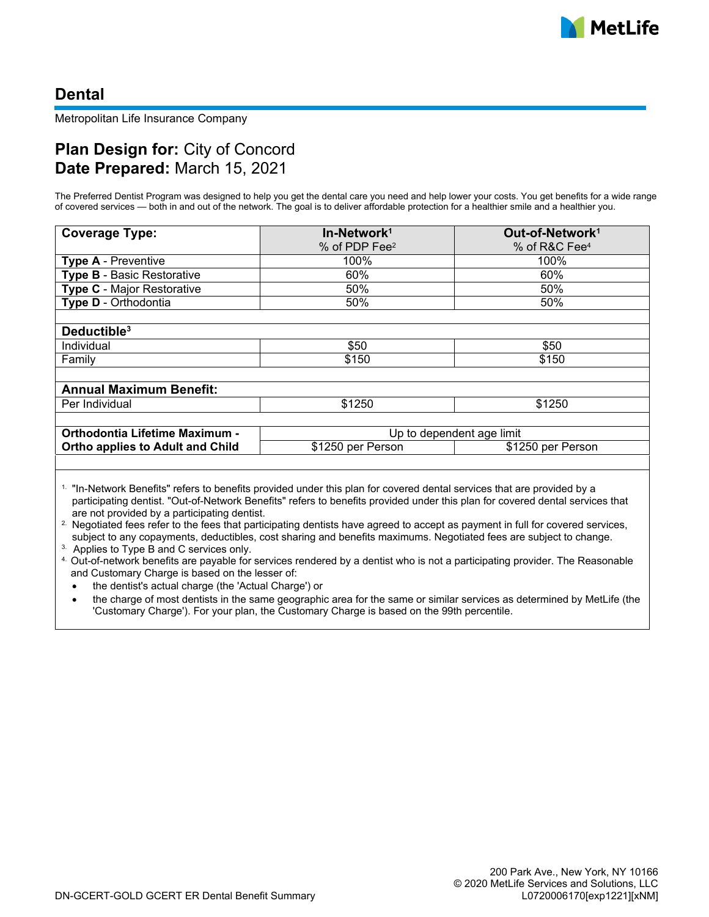# **Dental**

Metropolitan Life Insurance Company

# **Plan Design for:** City of Concord **Date Prepared:** March 15, 2021

The Preferred Dentist Program was designed to help you get the dental care you need and help lower your costs. You get benefits for a wide range of covered services — both in and out of the network. The goal is to deliver affordable protection for a healthier smile and a healthier you.

| <b>Coverage Type:</b>                   | In-Network <sup>1</sup>   | Out-of-Network <sup>1</sup> |
|-----------------------------------------|---------------------------|-----------------------------|
|                                         | % of PDP Fee <sup>2</sup> | % of R&C Fee <sup>4</sup>   |
| <b>Type A - Preventive</b>              | 100%                      | 100%                        |
| <b>Type B - Basic Restorative</b>       | 60%                       | 60%                         |
| <b>Type C</b> - Major Restorative       | 50%                       | 50%                         |
| Type D - Orthodontia                    | 50%                       | 50%                         |
|                                         |                           |                             |
| Deductible <sup>3</sup>                 |                           |                             |
| Individual                              | \$50                      | \$50                        |
| Family                                  | \$150                     | \$150                       |
|                                         |                           |                             |
| <b>Annual Maximum Benefit:</b>          |                           |                             |
| Per Individual                          | \$1250                    | \$1250                      |
|                                         |                           |                             |
| Orthodontia Lifetime Maximum -          | Up to dependent age limit |                             |
| <b>Ortho applies to Adult and Child</b> | \$1250 per Person         | \$1250 per Person           |
|                                         |                           |                             |

1. "In-Network Benefits" refers to benefits provided under this plan for covered dental services that are provided by a participating dentist. "Out-of-Network Benefits" refers to benefits provided under this plan for covered dental services that are not provided by a participating dentist.

<sup>2</sup>. Negotiated fees refer to the fees that participating dentists have agreed to accept as payment in full for covered services, subject to any copayments, deductibles, cost sharing and benefits maximums. Negotiated fees are subject to change.

3. Applies to Type B and C services only.

4. Out-of-network benefits are payable for services rendered by a dentist who is not a participating provider. The Reasonable and Customary Charge is based on the lesser of:

the dentist's actual charge (the 'Actual Charge') or

the charge of most dentists in the same geographic area for the same or similar services as determined by MetLife (the 'Customary Charge'). For your plan, the Customary Charge is based on the 99th percentile.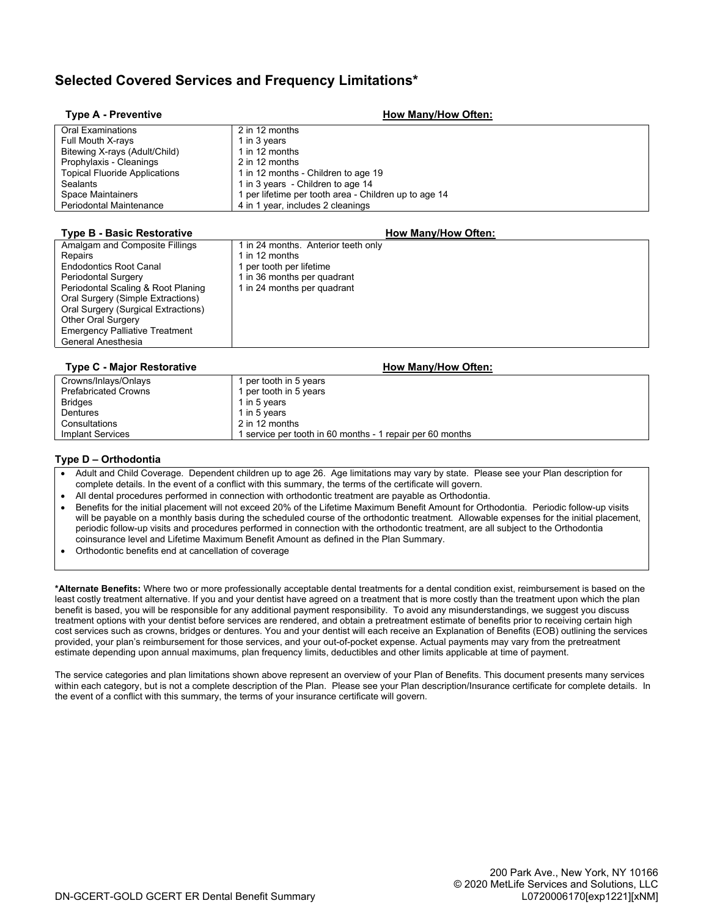## **Selected Covered Services and Frequency Limitations\***

| <b>Type A - Preventive</b>           | <b>How Many/How Often:</b>                            |
|--------------------------------------|-------------------------------------------------------|
| Oral Examinations                    | 2 in 12 months                                        |
| Full Mouth X-rays                    | 1 in 3 years                                          |
| Bitewing X-rays (Adult/Child)        | 1 in 12 months                                        |
| Prophylaxis - Cleanings              | 2 in 12 months                                        |
| <b>Topical Fluoride Applications</b> | 1 in 12 months - Children to age 19                   |
| Sealants                             | 1 in 3 years - Children to age 14                     |
| Space Maintainers                    | 1 per lifetime per tooth area - Children up to age 14 |
| <b>Periodontal Maintenance</b>       | 4 in 1 year, includes 2 cleanings                     |
|                                      |                                                       |

#### **Type B - Basic Restorative How Many/How Often:** Amalgam and Composite Fillings 1 1 in 24 months. Anterior teeth only Repairs<br>
Endodontics Root Canal 1 ner tooth per 1 per tooth per lifetime Periodontal Surgery 1 in 36 months per quadrant<br>Periodontal Scaling & Root Planing 1 in 24 months per quadrant Periodontal Scaling & Root Planing Oral Surgery (Simple Extractions) Oral Surgery (Surgical Extractions) Other Oral Surgery Emergency Palliative Treatment General Anesthesia

| <b>Type C - Major Restorative</b> | <b>How Many/How Often:</b>                                |
|-----------------------------------|-----------------------------------------------------------|
| Crowns/Inlays/Onlays              | 1 per tooth in 5 years                                    |
| <b>Prefabricated Crowns</b>       | 1 per tooth in 5 years                                    |
| <b>Bridges</b>                    | 1 in 5 years                                              |
| Dentures                          | 1 in 5 years                                              |
| Consultations                     | 2 in 12 months                                            |
| <b>Implant Services</b>           | 1 service per tooth in 60 months - 1 repair per 60 months |

#### **Type D – Orthodontia**

- · Adult and Child Coverage. Dependent children up to age 26. Age limitations may vary by state. Please see your Plan description for complete details. In the event of a conflict with this summary, the terms of the certificate will govern.
- · All dental procedures performed in connection with orthodontic treatment are payable as Orthodontia.
- · Benefits for the initial placement will not exceed 20% of the Lifetime Maximum Benefit Amount for Orthodontia. Periodic follow-up visits will be payable on a monthly basis during the scheduled course of the orthodontic treatment. Allowable expenses for the initial placement, periodic follow-up visits and procedures performed in connection with the orthodontic treatment, are all subject to the Orthodontia coinsurance level and Lifetime Maximum Benefit Amount as defined in the Plan Summary.
- · Orthodontic benefits end at cancellation of coverage

**\*Alternate Benefits:** Where two or more professionally acceptable dental treatments for a dental condition exist, reimbursement is based on the least costly treatment alternative. If you and your dentist have agreed on a treatment that is more costly than the treatment upon which the plan benefit is based, you will be responsible for any additional payment responsibility. To avoid any misunderstandings, we suggest you discuss treatment options with your dentist before services are rendered, and obtain a pretreatment estimate of benefits prior to receiving certain high cost services such as crowns, bridges or dentures. You and your dentist will each receive an Explanation of Benefits (EOB) outlining the services provided, your plan's reimbursement for those services, and your out-of-pocket expense. Actual payments may vary from the pretreatment estimate depending upon annual maximums, plan frequency limits, deductibles and other limits applicable at time of payment.

The service categories and plan limitations shown above represent an overview of your Plan of Benefits. This document presents many services within each category, but is not a complete description of the Plan. Please see your Plan description/Insurance certificate for complete details. In the event of a conflict with this summary, the terms of your insurance certificate will govern.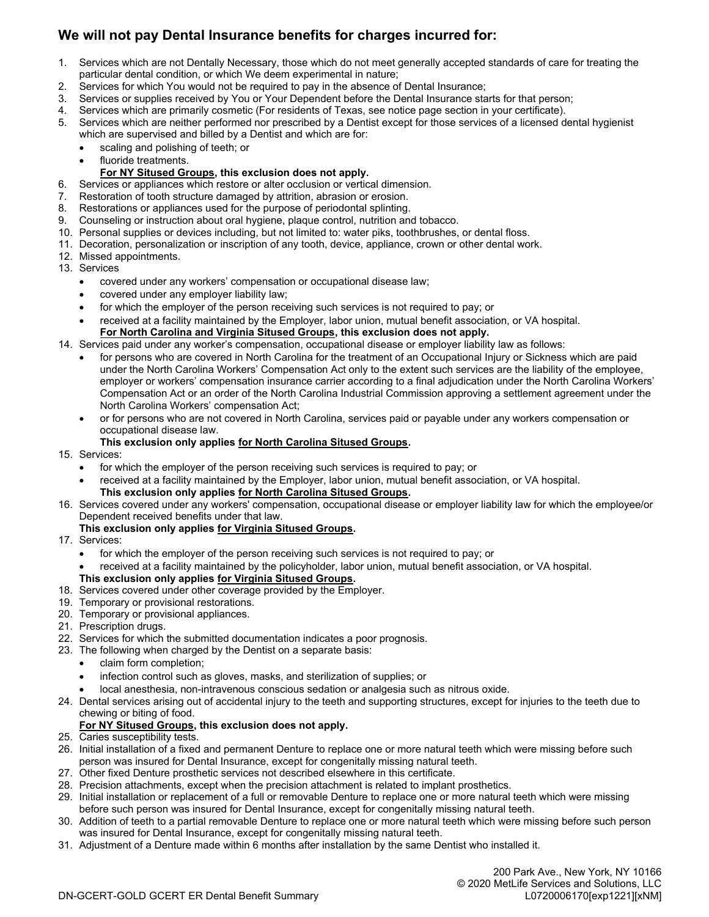## **We will not pay Dental Insurance benefits for charges incurred for:**

- 1. Services which are not Dentally Necessary, those which do not meet generally accepted standards of care for treating the particular dental condition, or which We deem experimental in nature;
- 2. Services for which You would not be required to pay in the absence of Dental Insurance;
- 3. Services or supplies received by You or Your Dependent before the Dental Insurance starts for that person;
- 4. Services which are primarily cosmetic (For residents of Texas, see notice page section in your certificate).
- 5. Services which are neither performed nor prescribed by a Dentist except for those services of a licensed dental hygienist which are supervised and billed by a Dentist and which are for:
	- scaling and polishing of teeth; or
	- · fluoride treatments.

### **For NY Sitused Groups, this exclusion does not apply.**

- 6. Services or appliances which restore or alter occlusion or vertical dimension.
- 7. Restoration of tooth structure damaged by attrition, abrasion or erosion.
- 8. Restorations or appliances used for the purpose of periodontal splinting.
- 9. Counseling or instruction about oral hygiene, plaque control, nutrition and tobacco.
- 10. Personal supplies or devices including, but not limited to: water piks, toothbrushes, or dental floss.
- 11. Decoration, personalization or inscription of any tooth, device, appliance, crown or other dental work.
- 12. Missed appointments.
- 13. Services
	- · covered under any workers' compensation or occupational disease law;
	- · covered under any employer liability law;
	- for which the employer of the person receiving such services is not required to pay; or
	- · received at a facility maintained by the Employer, labor union, mutual benefit association, or VA hospital. **For North Carolina and Virginia Sitused Groups, this exclusion does not apply.**

## 14. Services paid under any worker's compensation, occupational disease or employer liability law as follows:

- for persons who are covered in North Carolina for the treatment of an Occupational Injury or Sickness which are paid under the North Carolina Workers' Compensation Act only to the extent such services are the liability of the employee, employer or workers' compensation insurance carrier according to a final adjudication under the North Carolina Workers' Compensation Act or an order of the North Carolina Industrial Commission approving a settlement agreement under the North Carolina Workers' compensation Act;
- · or for persons who are not covered in North Carolina, services paid or payable under any workers compensation or occupational disease law.
- **This exclusion only applies for North Carolina Sitused Groups.**

### 15. Services:

- for which the employer of the person receiving such services is required to pay; or
- · received at a facility maintained by the Employer, labor union, mutual benefit association, or VA hospital. **This exclusion only applies for North Carolina Sitused Groups.**
- 16. Services covered under any workers' compensation, occupational disease or employer liability law for which the employee/or Dependent received benefits under that law.
	- **This exclusion only applies for Virginia Sitused Groups.**
- 17. Services:
	- · for which the employer of the person receiving such services is not required to pay; or
	- received at a facility maintained by the policyholder, labor union, mutual benefit association, or VA hospital. **This exclusion only applies for Virginia Sitused Groups.**
- 18. Services covered under other coverage provided by the Employer.
- 19. Temporary or provisional restorations.
- 20. Temporary or provisional appliances.
- 21. Prescription drugs.
- 22. Services for which the submitted documentation indicates a poor prognosis.
- 23. The following when charged by the Dentist on a separate basis:
	- claim form completion;
	- infection control such as gloves, masks, and sterilization of supplies; or
	- · local anesthesia, non-intravenous conscious sedation or analgesia such as nitrous oxide.
- 24. Dental services arising out of accidental injury to the teeth and supporting structures, except for injuries to the teeth due to chewing or biting of food.

### **For NY Sitused Groups, this exclusion does not apply.**

- 25. Caries susceptibility tests.
- 26. Initial installation of a fixed and permanent Denture to replace one or more natural teeth which were missing before such person was insured for Dental Insurance, except for congenitally missing natural teeth.
- 27. Other fixed Denture prosthetic services not described elsewhere in this certificate.
- 28. Precision attachments, except when the precision attachment is related to implant prosthetics.
- 29. Initial installation or replacement of a full or removable Denture to replace one or more natural teeth which were missing before such person was insured for Dental Insurance, except for congenitally missing natural teeth.
- 30. Addition of teeth to a partial removable Denture to replace one or more natural teeth which were missing before such person was insured for Dental Insurance, except for congenitally missing natural teeth.
- 31. Adjustment of a Denture made within 6 months after installation by the same Dentist who installed it.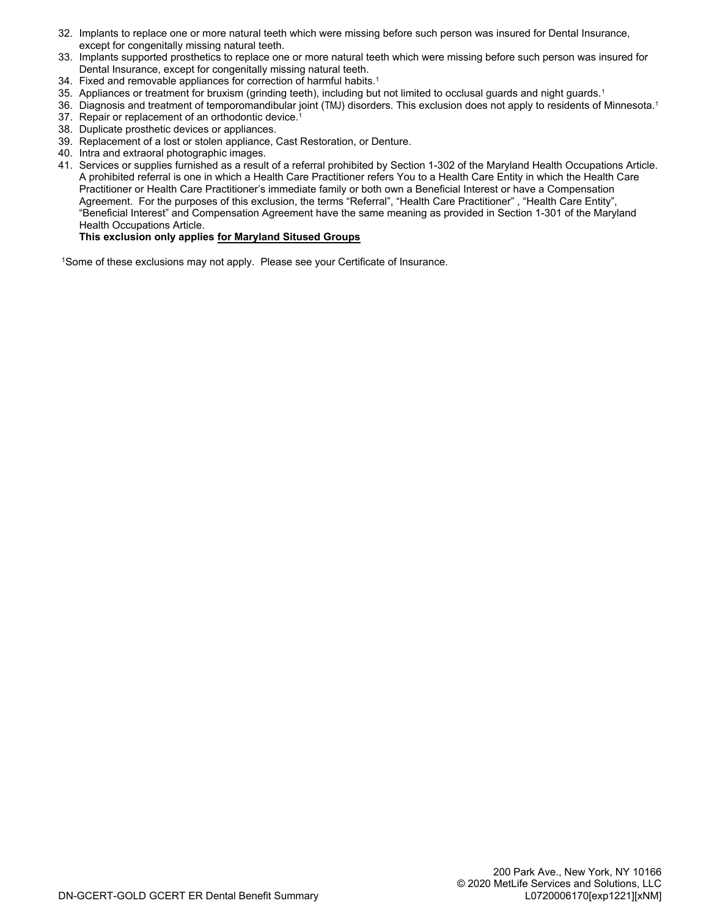- 32. Implants to replace one or more natural teeth which were missing before such person was insured for Dental Insurance, except for congenitally missing natural teeth.
- 33. Implants supported prosthetics to replace one or more natural teeth which were missing before such person was insured for Dental Insurance, except for congenitally missing natural teeth.
- 34. Fixed and removable appliances for correction of harmful habits.<sup>1</sup>
- 35. Appliances or treatment for bruxism (grinding teeth), including but not limited to occlusal guards and night guards.<sup>1</sup>
- 36. Diagnosis and treatment of temporomandibular joint (TMJ) disorders. This exclusion does not apply to residents of Minnesota.<sup>1</sup> 37. Repair or replacement of an orthodontic device.<sup>1</sup>
- 38. Duplicate prosthetic devices or appliances.
- 39. Replacement of a lost or stolen appliance, Cast Restoration, or Denture.
- 40. Intra and extraoral photographic images.
- 41. Services or supplies furnished as a result of a referral prohibited by Section 1-302 of the Maryland Health Occupations Article. A prohibited referral is one in which a Health Care Practitioner refers You to a Health Care Entity in which the Health Care Practitioner or Health Care Practitioner's immediate family or both own a Beneficial Interest or have a Compensation Agreement. For the purposes of this exclusion, the terms "Referral", "Health Care Practitioner", "Health Care Entity", "Beneficial Interest" and Compensation Agreement have the same meaning as provided in Section 1-301 of the Maryland Health Occupations Article.

### **This exclusion only applies for Maryland Sitused Groups**

<sup>1</sup>Some of these exclusions may not apply. Please see your Certificate of Insurance.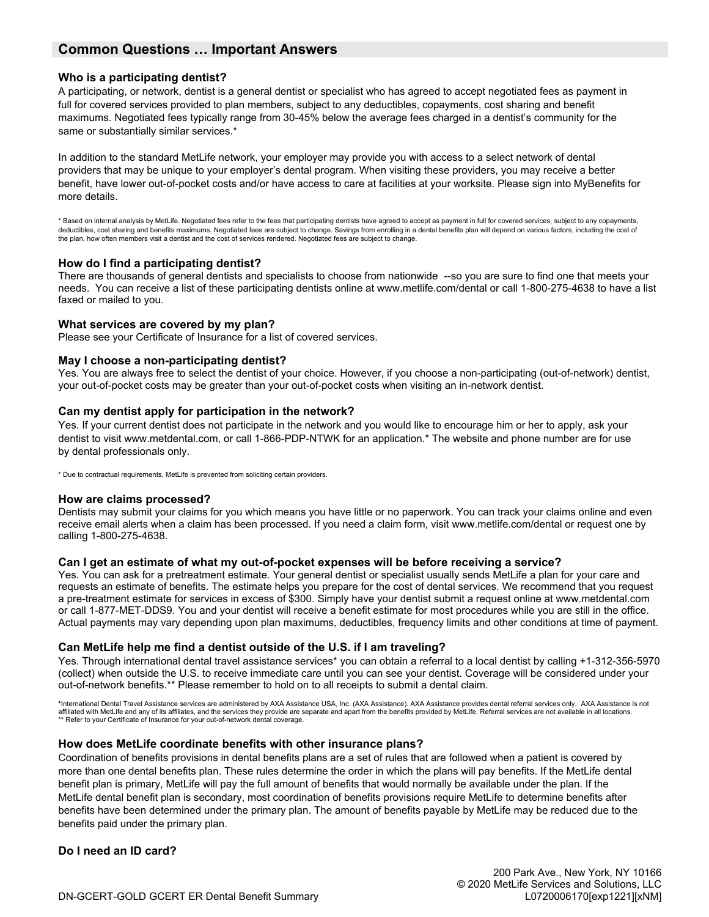## **Common Questions … Important Answers**

#### **Who is a participating dentist?**

A participating, or network, dentist is a general dentist or specialist who has agreed to accept negotiated fees as payment in full for covered services provided to plan members, subject to any deductibles, copayments, cost sharing and benefit maximums. Negotiated fees typically range from 30-45% below the average fees charged in a dentist's community for the same or substantially similar services.\*

In addition to the standard MetLife network, your employer may provide you with access to a select network of dental providers that may be unique to your employer's dental program. When visiting these providers, you may receive a better benefit, have lower out-of-pocket costs and/or have access to care at facilities at your worksite. Please sign into MyBenefits for more details.

\* Based on internal analysis by MetLife. Negotiated fees refer to the fees that participating dentists have agreed to accept as payment in full for covered services, subject to any copayments, deductibles, cost sharing and benefits maximums. Negotiated fees are subject to change. Savings from enrolling in a dental benefits plan will depend on various factors, including the cost of the plan, how often members visit a dentist and the cost of services rendered. Negotiated fees are subject to change.

#### **How do I find a participating dentist?**

There are thousands of general dentists and specialists to choose from nationwide --so you are sure to find one that meets your needs. You can receive a list of these participating dentists online at www.metlife.com/dental or call 1-800-275-4638 to have a list faxed or mailed to you.

#### **What services are covered by my plan?**

Please see your Certificate of Insurance for a list of covered services.

#### **May I choose a non-participating dentist?**

Yes. You are always free to select the dentist of your choice. However, if you choose a non-participating (out-of-network) dentist, your out-of-pocket costs may be greater than your out-of-pocket costs when visiting an in-network dentist.

#### **Can my dentist apply for participation in the network?**

Yes. If your current dentist does not participate in the network and you would like to encourage him or her to apply, ask your dentist to visit www.metdental.com, or call 1-866-PDP-NTWK for an application.\* The website and phone number are for use by dental professionals only.

\* Due to contractual requirements, MetLife is prevented from soliciting certain providers.

#### **How are claims processed?**

Dentists may submit your claims for you which means you have little or no paperwork. You can track your claims online and even receive email alerts when a claim has been processed. If you need a claim form, visit www.metlife.com/dental or request one by calling 1-800-275-4638.

### **Can I get an estimate of what my out-of-pocket expenses will be before receiving a service?**

Yes. You can ask for a pretreatment estimate. Your general dentist or specialist usually sends MetLife a plan for your care and requests an estimate of benefits. The estimate helps you prepare for the cost of dental services. We recommend that you request a pre-treatment estimate for services in excess of \$300. Simply have your dentist submit a request online at www.metdental.com or call 1-877-MET-DDS9. You and your dentist will receive a benefit estimate for most procedures while you are still in the office. Actual payments may vary depending upon plan maximums, deductibles, frequency limits and other conditions at time of payment.

### **Can MetLife help me find a dentist outside of the U.S. if I am traveling?**

Yes. Through international dental travel assistance services\* you can obtain a referral to a local dentist by calling +1-312-356-5970 (collect) when outside the U.S. to receive immediate care until you can see your dentist. Coverage will be considered under your out-of-network benefits.\*\* Please remember to hold on to all receipts to submit a dental claim.

\*International Dental Travel Assistance services are administered by AXA Assistance USA, Inc. (AXA Assistance). AXA Assistance provides dental referral services only. AXA Assistance is not<br>affiliated with MetLife and any

### **How does MetLife coordinate benefits with other insurance plans?**

Coordination of benefits provisions in dental benefits plans are a set of rules that are followed when a patient is covered by more than one dental benefits plan. These rules determine the order in which the plans will pay benefits. If the MetLife dental benefit plan is primary, MetLife will pay the full amount of benefits that would normally be available under the plan. If the MetLife dental benefit plan is secondary, most coordination of benefits provisions require MetLife to determine benefits after benefits have been determined under the primary plan. The amount of benefits payable by MetLife may be reduced due to the benefits paid under the primary plan.

**Do I need an ID card?**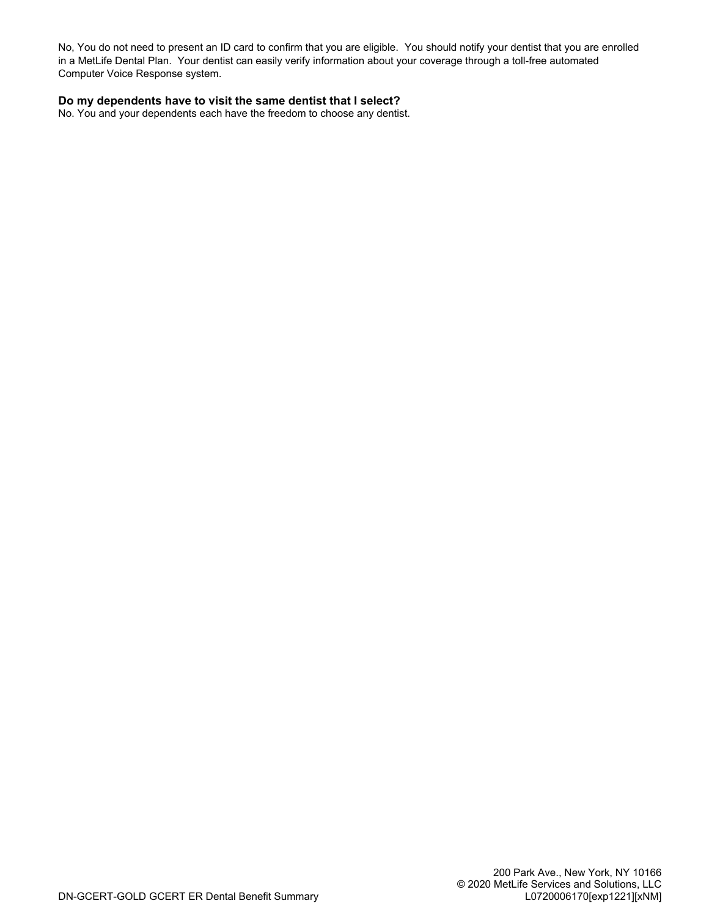No, You do not need to present an ID card to confirm that you are eligible. You should notify your dentist that you are enrolled in a MetLife Dental Plan. Your dentist can easily verify information about your coverage through a toll-free automated Computer Voice Response system.

#### **Do my dependents have to visit the same dentist that I select?**

No. You and your dependents each have the freedom to choose any dentist.